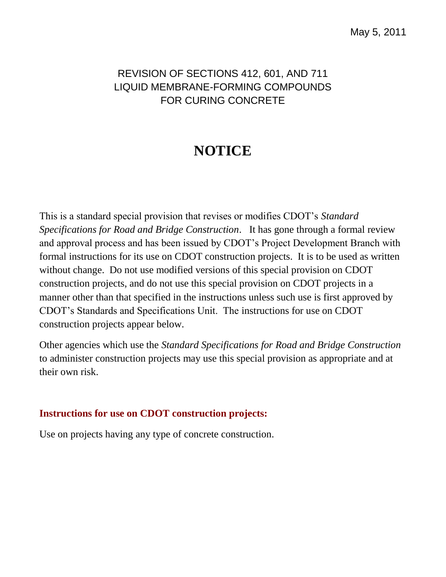## REVISION OF SECTIONS 412, 601, AND 711 LIQUID MEMBRANE-FORMING COMPOUNDS FOR CURING CONCRETE

## **NOTICE**

This is a standard special provision that revises or modifies CDOT's *Standard Specifications for Road and Bridge Construction*. It has gone through a formal review and approval process and has been issued by CDOT's Project Development Branch with formal instructions for its use on CDOT construction projects. It is to be used as written without change. Do not use modified versions of this special provision on CDOT construction projects, and do not use this special provision on CDOT projects in a manner other than that specified in the instructions unless such use is first approved by CDOT's Standards and Specifications Unit. The instructions for use on CDOT construction projects appear below.

Other agencies which use the *Standard Specifications for Road and Bridge Construction* to administer construction projects may use this special provision as appropriate and at their own risk.

## **Instructions for use on CDOT construction projects:**

Use on projects having any type of concrete construction.